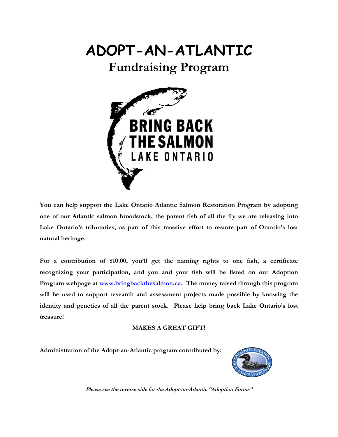## **ADOPT-AN-ATLANTIC**

## **Fundraising Program**



 **You can help support the Lake Ontario Atlantic Salmon Restoration Program by adopting one of our Atlantic salmon broodstock, the parent fish of all the fry we are releasing into Lake Ontario's tributaries, as part of this massive effort to restore part of Ontario's lost natural heritage.** 

**For a contribution of \$10.00, you'll get the naming rights to one fish, a certificate recognizing your participation, and you and your fish will be listed on our Adoption Program webpage at www.bringbackthesalmon.ca. The money raised through this program**  will be used to support research and assessment projects made possible by knowing the **identity and genetics of all the parent stock. Please help bring back Lake Ontario's lost treasure!** 

## **MAKES A GREAT GIFT!**

**Administration of the Adopt-an-Atlantic program contributed by:** 



**Please see the reverse side for the Adopt-an-Atlantic "Adoption Forms"**